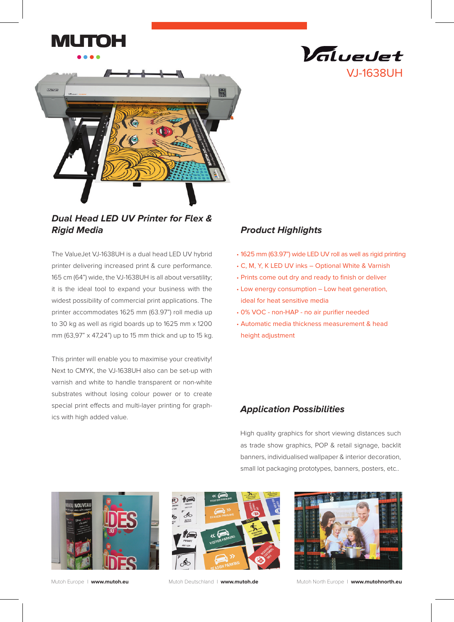



**Dual Head LED UV Printer for Flex & Rigid Media**

The ValueJet VJ-1638UH is a dual head LED UV hybrid printer delivering increased print & cure performance. 165 cm (64") wide, the VJ-1638UH is all about versatility; it is the ideal tool to expand your business with the widest possibility of commercial print applications. The printer accommodates 1625 mm (63.97") roll media up to 30 kg as well as rigid boards up to 1625 mm x 1200 mm (63,97" x 47,24") up to 15 mm thick and up to 15 kg.

This printer will enable you to maximise your creativity! Next to CMYK, the VJ-1638UH also can be set-up with varnish and white to handle transparent or non-white substrates without losing colour power or to create special print effects and multi-layer printing for graphics with high added value.

# **Product Highlights**

1625 mm (63.97") wide LED UV roll as well as rigid printing •

VJ-1638UH

Valuedet

- C, M, Y, K LED UV inks Optional White & Varnish •
- Prints come out dry and ready to finish or deliver •
- Low energy consumption Low heat generation, ideal for heat sensitive media
- 0% VOC non-HAP no air purifier needed •
- Automatic media thickness measurement & head •height adjustment

## **Application Possibilities**

High quality graphics for short viewing distances such as trade show graphics, POP & retail signage, backlit banners, individualised wallpaper & interior decoration, small lot packaging prototypes, banners, posters, etc..